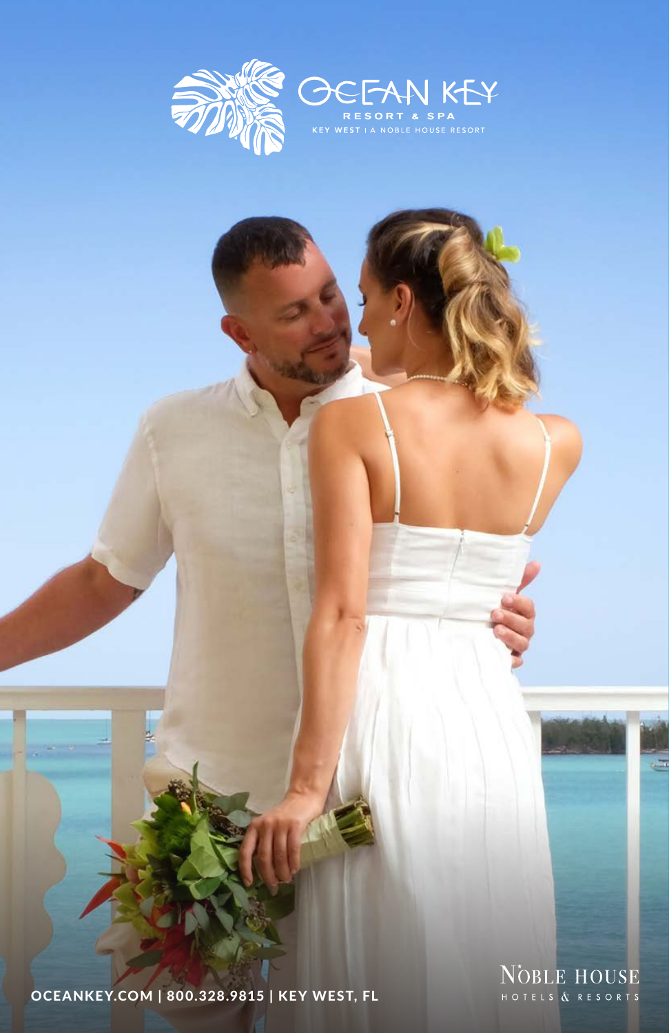

OCEANKEY.COM | 800.328.9815 | KEY WEST, FL OCEANKEY.COM | 800.328.9815 | KEY WEST, FL

NOBLE HOUSE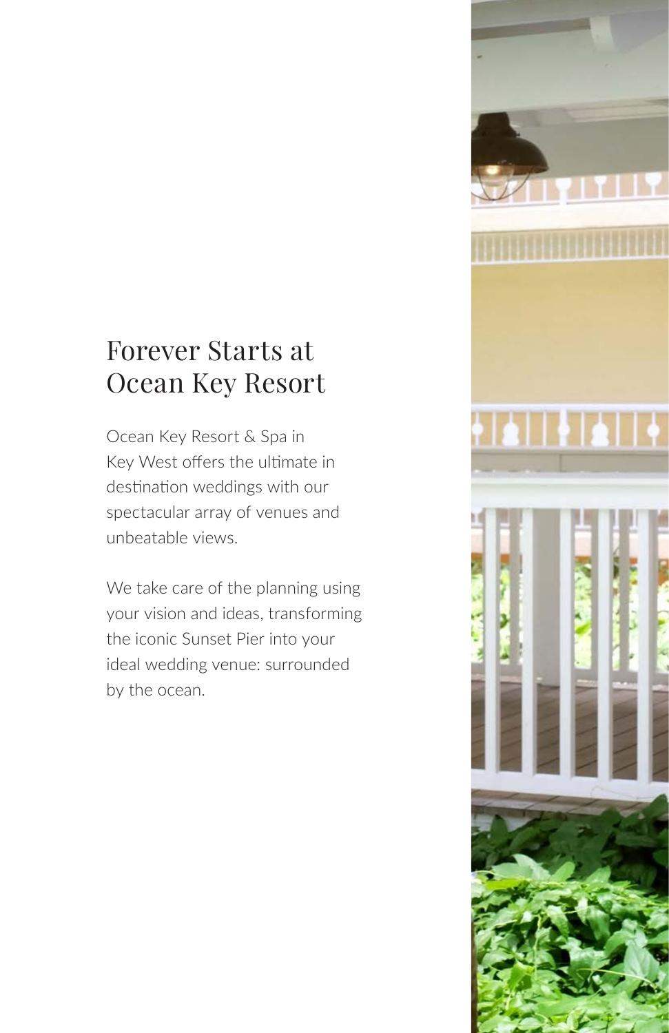## Forever Starts at Ocean Key Resort

Ocean Key Resort & Spa in Key West offers the ultimate in destination weddings with our spectacular array of venues and unbeatable views.

We take care of the planning using your vision and ideas, transforming the iconic Sunset Pier into your ideal wedding venue: surrounded by the ocean.

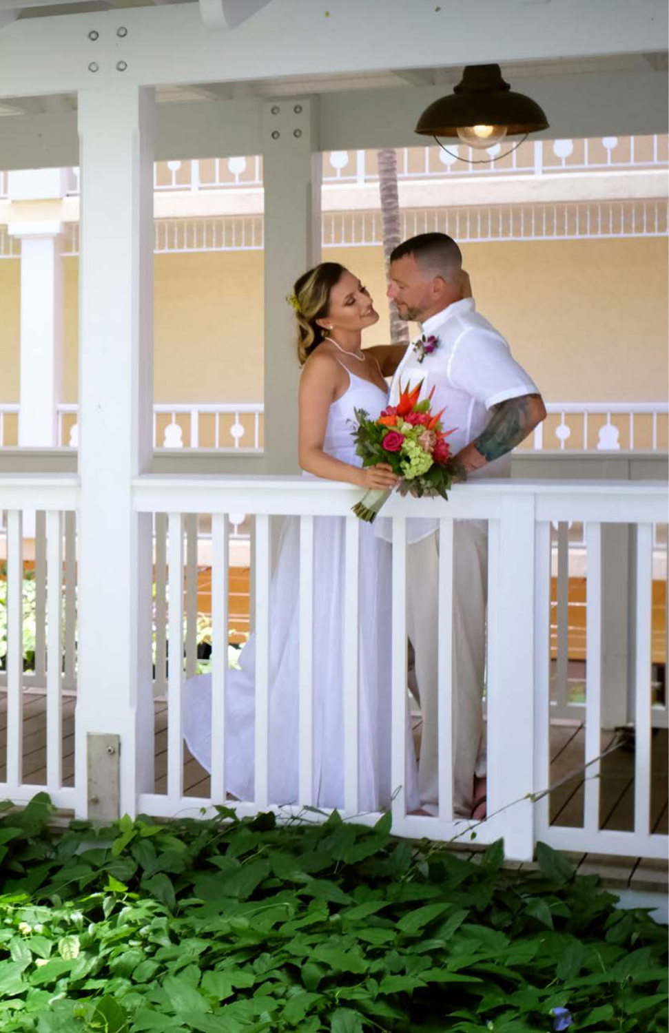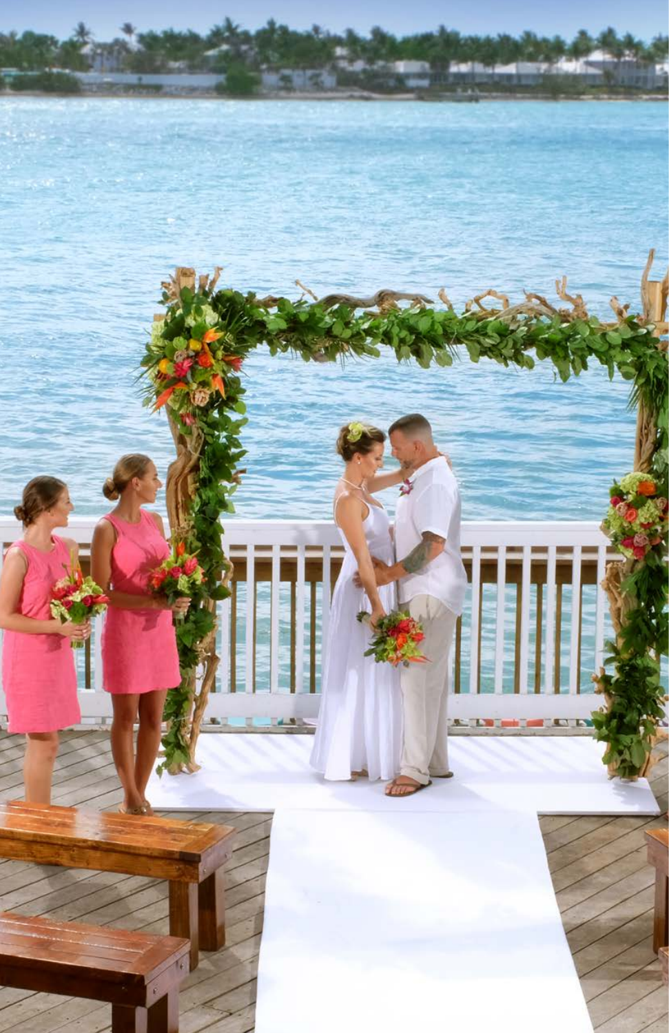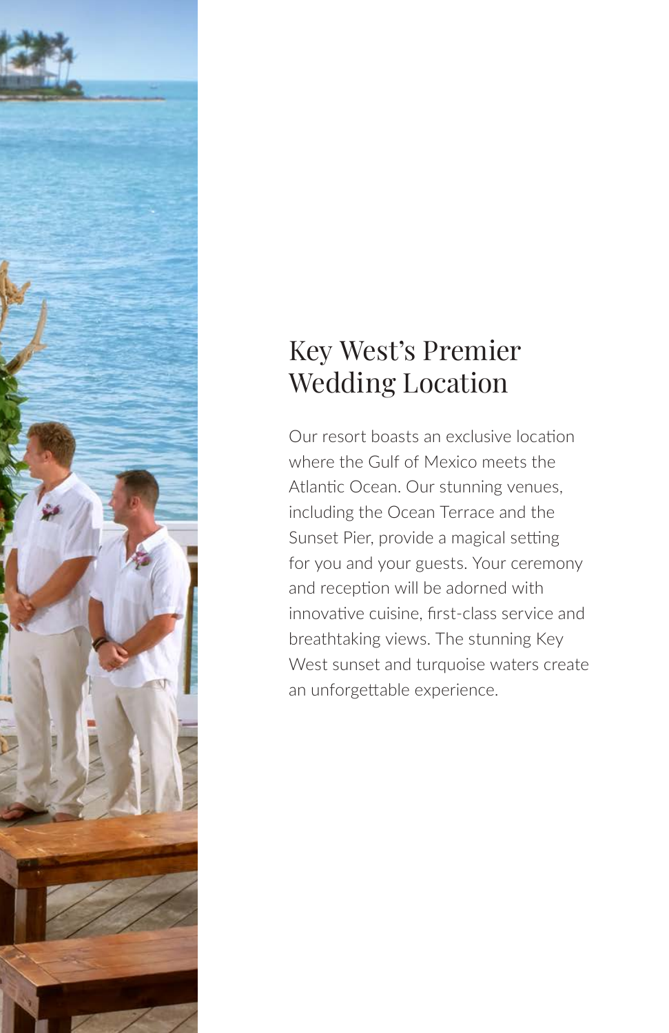

## Key West's Premier Wedding Location

Our resort boasts an exclusive location where the Gulf of Mexico meets the Atlantic Ocean. Our stunning venues, including the Ocean Terrace and the Sunset Pier, provide a magical setting for you and your guests. Your ceremony and reception will be adorned with innovative cuisine, first-class service and breathtaking views. The stunning Key West sunset and turquoise waters create an unforgettable experience.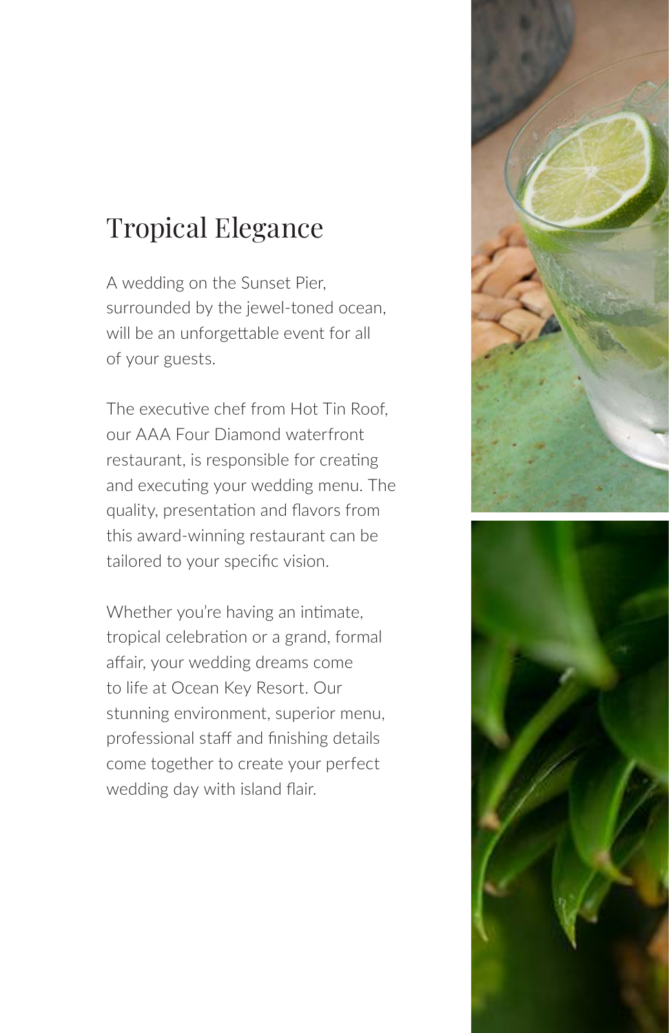## Tropical Elegance

A wedding on the Sunset Pier, surrounded by the jewel-toned ocean, will be an unforgettable event for all of your guests.

The executive chef from Hot Tin Roof. our AAA Four Diamond waterfront restaurant, is responsible for creating and executing your wedding menu. The quality, presentation and flavors from this award-winning restaurant can be tailored to your specific vision.

Whether you're having an intimate, tropical celebration or a grand, formal affair, your wedding dreams come to life at Ocean Key Resort. Our stunning environment, superior menu, professional staff and finishing details come together to create your perfect wedding day with island flair.

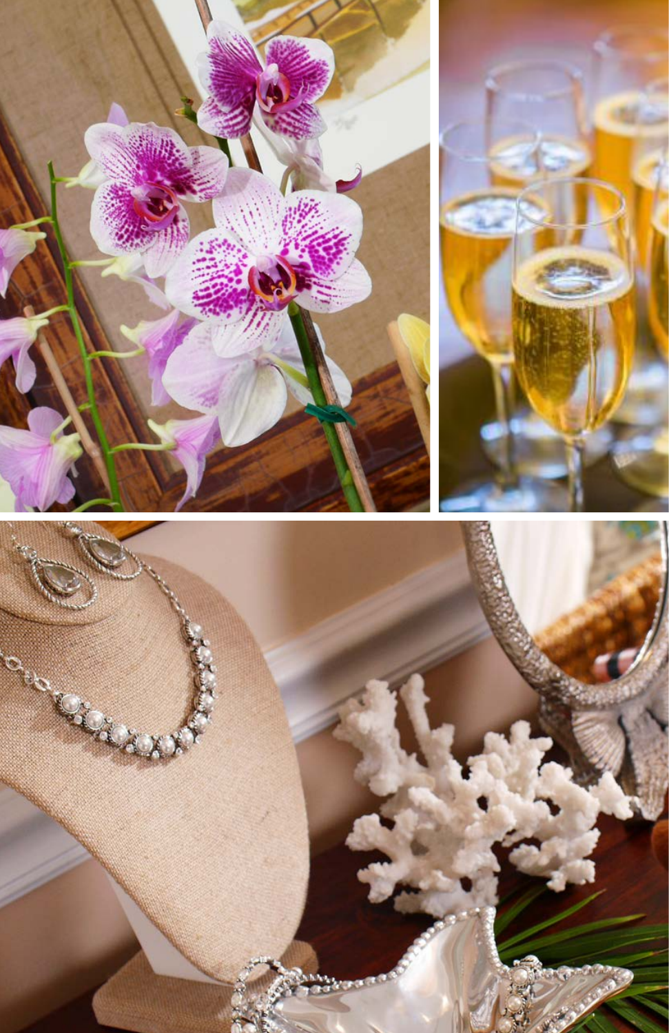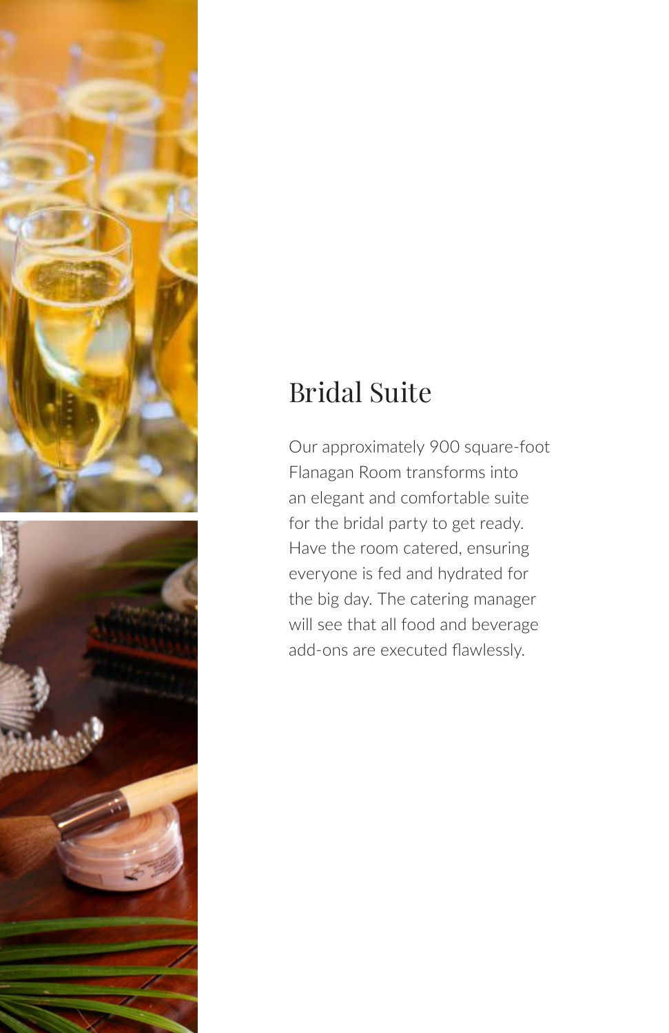

## Bridal Suite

Our approximately 900 square-foot Flanagan Room transforms into an elegant and comfortable suite for the bridal party to get ready. Have the room catered, ensuring everyone is fed and hydrated for the big day. The catering manager will see that all food and beverage add-ons are executed flawlessly.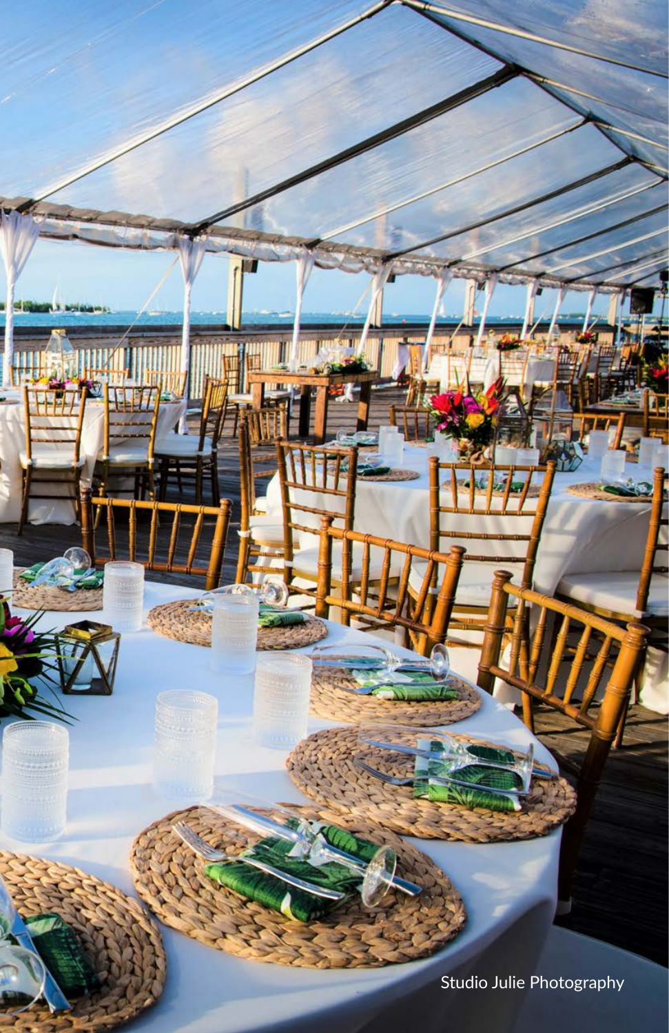Studio Julie Photography